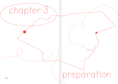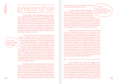## preparation

The next step in the storytelling process, preparation, is closely linked to the process of selecting the topic. Most of the time, the preparatory phase starts when storytellers begin asking themselves what topics are interesting and important to cover. Once these questions are asked, they begin to think about the topic analytically and critically and start placing it in context. The preparatory phase lays the groundwork for the story and can be done in different ways, including research in the form of readings and listenings, arranging for interviews and spending time in neighbourhoods and places related to the story.

"The main thing is to listen to people.»

"The main thing is to listen to people and read about the topic," Shehrazad Siraj, the writer and student from France, said. "If you want to ask about migration, you have to read about it beforehand." This idea, that storytellers research topics they work on, comes naturally to many. But it is not only a matter of doing readings, it is also about the nature of those readings. Omar Saadeh, the filmmaker with an NGO working with refugees in Lebanon, said that he often met people from abroad, both visitors to the NGO and journalists, who came with preconceptions in mind. "The types of questions they asked were always very basic and lead to the same patterns in stories." This attitude, he said, had to do with a lack of research on their behalf and stereotypes they had about the topic: "They came with a premeditated image of the country, they did not come thinking 'let's find out what is there.'"

Samih Mahmoud from the video platform Campji said that when reporters come from outside the camps, they often show a lack of knowledge: "They don't do deep research beforehand, unless we are talking about journalists who spend time in the area to get to know it before writing their stories. But some rely only on sources and information written by outsiders, so the research is done from the outside looking in." This, he said, is the consequence of a larger problem, one that goes beyond the storytellers themselves: "It is because there

is not enough input from the camps, from people living there, about how life really is."

For journalists and others telling stories of migration, it might be an easy option to resort to readings that are widely available and published by well-known outlets and institutions. This is not wrong: these are often well-researched and comprehensive. But local, people-centred perspectives are many times missing in these publications. And if they are there, they are often narrated from 'the outside,' by authors coming from privileged backgrounds or parts of the West, not refugee and migrant communities. If storytellers rely only on such readings, they will miss important perspectives.

Preparing well for a story therefore requires looking further than what first meets the eye. This includes reading things that are locally produced and published, even if it means spending more time searching (and oftentimes translating). Such readings can be local newspaper articles, poetry and short stories, podcasts and material published on social media. Siraj spoke about the importance of looking beyond the traditional coverage: "Sure, mainstream media is a useful source, but we should also read blogs and other smaller platforms, especially if we want to understand how people live. If we want to write about a community, we have to read what people from that group write." Social media, Siraj said, can be very useful to get a better understanding of people's lives: "It lets you discover new things and opens your mind. Even if you are not friends with someone you can follow what they write. I learn a lot about people's realities that way."

 $44$  goes beyond the storytellers themselves: "It is because there in mind for who she wanted to interview. Usually, this is what  $\sqrt[4]{5}$ Laure Makarem, who works with migrant worker communities at the Anti-Racism Movement (ARM) in Lebanon, said that research can impact the quality of interactions journalists and others have with people interviewed for their stories. "I have a good example," Makarem said. "It was a person who had done a lot of readings and realised that there is a lot of knowledge out there. She wanted to explore how she could contribute to the existing literature." This, Makarem said, was refreshing: "She didn't come with a preset profile

"There is not enough input from the camps about how life really is.<sup>5</sup>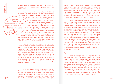people do. They come to us and say, 'I want a person who was trafficked,' or 'I want access to the Filipino community,' but she did not."

"Reporters and journalists can sometimes be oblivious to the power dynamics that exist between them and the person they are working with."

laborate and rely on each other to produce stories on migration. When storytellers do features in areas they are not familiar with, the preparations partly depend on the resources and connections of NGOs working in those areas. Benefits can go both ways – storytellers can get access to places they don't know well, and organisations can bring media attention to issues they work on. But this may also lead to a disconnect between the storyteller and the people featured in the story. "Reporters and journalists can sometimes be oblivious to the power dynamics that exist between them and the person they are working with," Makarem said. "There is a lack of interest in engaging with that person beyond the level of collecting data

Makarem described how storytellers and NGOs col-

or extracting a story for their article. The relationship then becomes one-way and very transactional."

Doha Adi from the NGO Sawa for Development and Aid recounted a case where good preparations made a big difference: "We did a series of testimonies of people who had been injured in the war or in accidents in Lebanon. It was a very tricky process, very scary, because how can people retell such stories without re-living the trauma?" Adi worked with a social worker and spent much time describing what the material would be used for to the potential interviewees. "It was hard to find people. Out of 30, only three wanted to talk to us. But they were very positive, which made it easy – and at the same time hard because you want to respect these people and their positivity," Adi said.

 $46$  and the miliar with. "If I know someone from my area, I would speak and the set of  $47$ Often, the ability to prepare is contingent on factors like the time and resources available to the storyteller. Neither is at any point endless, so choices and priorities have to be set. Rayan Sukkar from Campji said that if there is an alternative, she would not do features in regions she is unfa-

to them instead," she said. There are always ways to prepare, she continued, even on tight deadlines: "I don't think that time is really an excuse. It is easy to do research these days: there is information available in the community. There is technology. You can send long voice notes, talk over the phone, get to know the person you are interviewing. Check Facebook to see what they are interested in." Otherwise, she said, "work on stories you have access to in your own area."

That said, both journalists and storytellers from NGOs remain at the far end of the chain of power and influence within their institutions. Publishers and senior editors make the decisions in the newsrooms, and owners are responsible for securing the financial resources. NGOs, both large and small, rely at the end of the day on funders, often located far away. Makarem from ARM said that they acknowledge the situation for journalists who are asked to "write an article about a topic they didn't sign up for and only have five working days to deliver the story." It would be wrong, Makarem said, to tell them: "We are not working with you, go to another NGO and talk to a migrant worker there and do damage that is not on our premises." Instead, Makarem continued, organisations can ask journalists to provide information about their purpose, main topic, interview questions, ethical considerations and publishing details beforehand. "This procedure, in our experience, gives journalists a kind of self-check, saying 'I am being held accountable for this story.'"

For anyone telling stories about migration, the preparatory phase is when the blueprint for the entire story is drawn. This is when the direction of the story is set and the tone for what comes after is determined. Limitations in terms of time and resources are real, so storytellers will often find themselves forced to stop their research before having fully explored all possible angles. Still, as described by several participants, there are several steps a storyteller can take in order to, as Sukkar from Campji put it, "not come out of nowhere, knock a door and tell someone, 'I want to interview you about this and that.'" If the preparations for a story are honest and sincere, chances are that the story will be too.